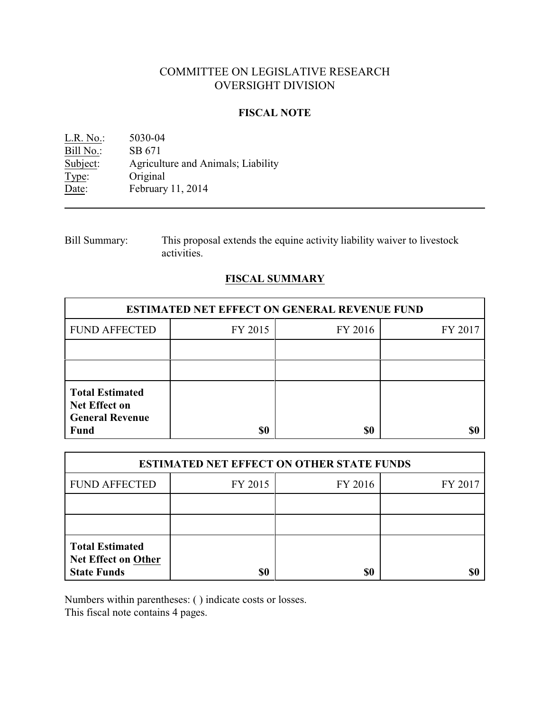# COMMITTEE ON LEGISLATIVE RESEARCH OVERSIGHT DIVISION

### **FISCAL NOTE**

L.R. No.: 5030-04 Bill No.: SB 671<br>Subject: Agricult Agriculture and Animals; Liability Type: Original Date: February 11, 2014

Bill Summary: This proposal extends the equine activity liability waiver to livestock activities.

# **FISCAL SUMMARY**

| <b>ESTIMATED NET EFFECT ON GENERAL REVENUE FUND</b>                                     |         |         |         |  |
|-----------------------------------------------------------------------------------------|---------|---------|---------|--|
| <b>FUND AFFECTED</b>                                                                    | FY 2015 | FY 2016 | FY 2017 |  |
|                                                                                         |         |         |         |  |
|                                                                                         |         |         |         |  |
| <b>Total Estimated</b><br><b>Net Effect on</b><br><b>General Revenue</b><br><b>Fund</b> | \$0     | \$0     |         |  |

| <b>ESTIMATED NET EFFECT ON OTHER STATE FUNDS</b>                           |         |         |         |  |
|----------------------------------------------------------------------------|---------|---------|---------|--|
| <b>FUND AFFECTED</b>                                                       | FY 2015 | FY 2016 | FY 2017 |  |
|                                                                            |         |         |         |  |
|                                                                            |         |         |         |  |
| <b>Total Estimated</b><br><b>Net Effect on Other</b><br><b>State Funds</b> | \$0     | \$0     |         |  |

Numbers within parentheses: ( ) indicate costs or losses.

This fiscal note contains 4 pages.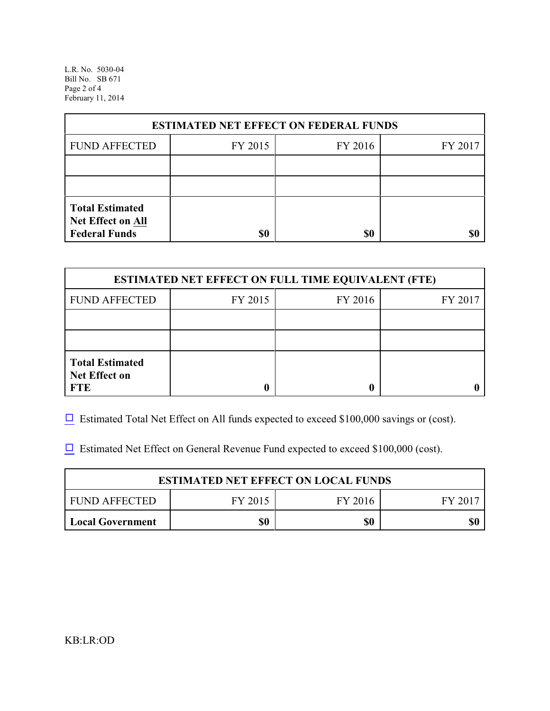L.R. No. 5030-04 Bill No. SB 671 Page 2 of 4 February 11, 2014

| <b>ESTIMATED NET EFFECT ON FEDERAL FUNDS</b>                        |         |         |         |  |
|---------------------------------------------------------------------|---------|---------|---------|--|
| <b>FUND AFFECTED</b>                                                | FY 2015 | FY 2016 | FY 2017 |  |
|                                                                     |         |         |         |  |
|                                                                     |         |         |         |  |
| <b>Total Estimated</b><br>Net Effect on All<br><b>Federal Funds</b> | \$0     | \$0     |         |  |

| <b>ESTIMATED NET EFFECT ON FULL TIME EQUIVALENT (FTE)</b>    |         |         |         |  |
|--------------------------------------------------------------|---------|---------|---------|--|
| <b>FUND AFFECTED</b>                                         | FY 2015 | FY 2016 | FY 2017 |  |
|                                                              |         |         |         |  |
|                                                              |         |         |         |  |
| <b>Total Estimated</b><br><b>Net Effect on</b><br><b>FTE</b> |         |         |         |  |

 $\Box$  Estimated Total Net Effect on All funds expected to exceed \$100,000 savings or (cost).

 $\Box$  Estimated Net Effect on General Revenue Fund expected to exceed \$100,000 (cost).

| <b>ESTIMATED NET EFFECT ON LOCAL FUNDS</b> |         |         |       |
|--------------------------------------------|---------|---------|-------|
| FUND AFFECTED                              | FY 2015 | FY 2016 | FY 20 |
| Local Government                           | \$0     | \$0     | \$0   |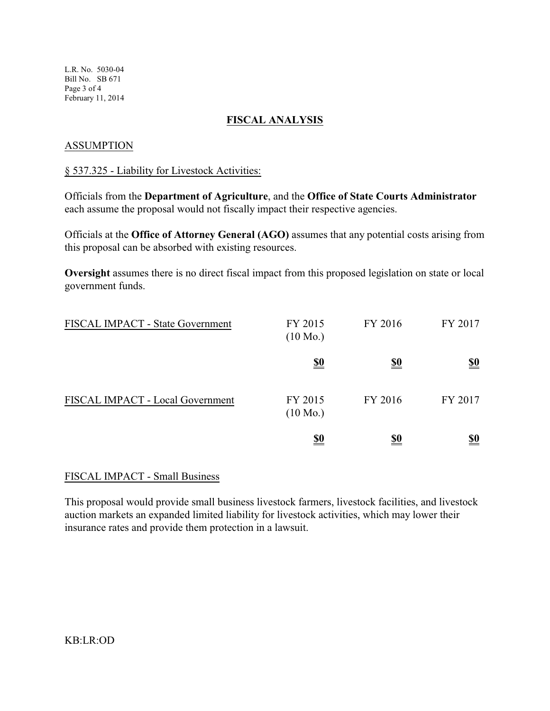L.R. No. 5030-04 Bill No. SB 671 Page 3 of 4 February 11, 2014

## **FISCAL ANALYSIS**

### **ASSUMPTION**

## § 537.325 - Liability for Livestock Activities:

Officials from the **Department of Agriculture**, and the **Office of State Courts Administrator** each assume the proposal would not fiscally impact their respective agencies.

Officials at the **Office of Attorney General (AGO)** assumes that any potential costs arising from this proposal can be absorbed with existing resources.

**Oversight** assumes there is no direct fiscal impact from this proposed legislation on state or local government funds.

| FISCAL IMPACT - State Government | FY 2015<br>$(10 \text{ Mo.})$ | FY 2016    | FY 2017    |
|----------------------------------|-------------------------------|------------|------------|
|                                  | <u>\$0</u>                    | <u>\$0</u> | <u>\$0</u> |
| FISCAL IMPACT - Local Government | FY 2015<br>$(10 \text{ Mo.})$ | FY 2016    | FY 2017    |
|                                  | <u>\$0</u>                    | <u>\$0</u> | <u>\$0</u> |

### FISCAL IMPACT - Small Business

This proposal would provide small business livestock farmers, livestock facilities, and livestock auction markets an expanded limited liability for livestock activities, which may lower their insurance rates and provide them protection in a lawsuit.